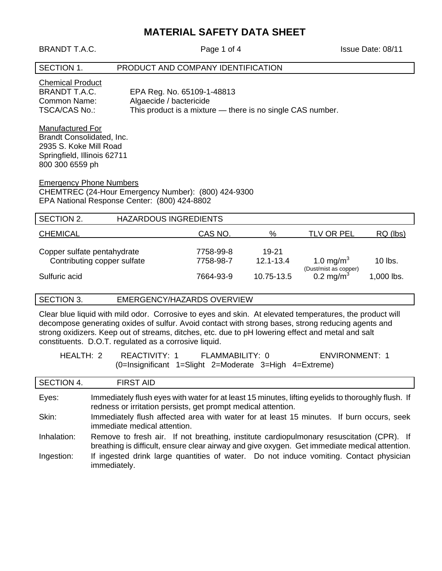# **MATERIAL SAFETY DATA SHEET**

BRANDT T.A.C. Page 1 of 4 Issue Date: 08/11

# SECTION 1. PRODUCT AND COMPANY IDENTIFICATION

| <b>Chemical Product</b> |                                                            |
|-------------------------|------------------------------------------------------------|
| BRANDT T.A.C.           | EPA Reg. No. 65109-1-48813                                 |
| Common Name:            | Algaecide / bactericide                                    |
| TSCA/CAS No.:           | This product is a mixture — there is no single CAS number. |

Manufactured For Brandt Consolidated, Inc. 2935 S. Koke Mill Road Springfield, Illinois 62711 800 300 6559 ph

Emergency Phone Numbers

CHEMTREC (24-Hour Emergency Number): (800) 424-9300 EPA National Response Center: (800) 424-8802

| SECTION 2.                                                 | <b>HAZARDOUS INGREDIENTS</b> |                        |                        |                                                |              |
|------------------------------------------------------------|------------------------------|------------------------|------------------------|------------------------------------------------|--------------|
| <b>CHEMICAL</b>                                            |                              | CAS NO.                | %                      | <b>TLV OR PEL</b>                              | $RQ$ (lbs)   |
| Copper sulfate pentahydrate<br>Contributing copper sulfate |                              | 7758-99-8<br>7758-98-7 | 19-21<br>$12.1 - 13.4$ | 1.0 mg/m <sup>3</sup>                          | $10$ lbs.    |
| Sulfuric acid                                              |                              | 7664-93-9              | 10.75-13.5             | (Dust/mist as copper)<br>0.2 mg/m <sup>3</sup> | $1,000$ lbs. |

# SECTION 3. EMERGENCY/HAZARDS OVERVIEW

Clear blue liquid with mild odor. Corrosive to eyes and skin. At elevated temperatures, the product will decompose generating oxides of sulfur. Avoid contact with strong bases, strong reducing agents and strong oxidizers. Keep out of streams, ditches, etc. due to pH lowering effect and metal and salt constituents. D.O.T. regulated as a corrosive liquid.

| HEALTH: 2 | REACTIVITY: 1                                             | FLAMMABILITY: 0 | <b>ENVIRONMENT: 1</b> |
|-----------|-----------------------------------------------------------|-----------------|-----------------------|
|           | $(0=$ Insignificant 1=Slight 2=Moderate 3=High 4=Extreme) |                 |                       |

| SECTION 4.  | <b>FIRST AID</b>                                                                                                                                                                          |
|-------------|-------------------------------------------------------------------------------------------------------------------------------------------------------------------------------------------|
| Eyes:       | Immediately flush eyes with water for at least 15 minutes, lifting eyelids to thoroughly flush. If<br>redness or irritation persists, get prompt medical attention.                       |
| Skin:       | Immediately flush affected area with water for at least 15 minutes. If burn occurs, seek<br>immediate medical attention.                                                                  |
| Inhalation: | Remove to fresh air. If not breathing, institute cardiopulmonary resuscitation (CPR). If<br>breathing is difficult, ensure clear airway and give oxygen. Get immediate medical attention. |
| Ingestion:  | If ingested drink large quantities of water. Do not induce vomiting. Contact physician<br>immediately.                                                                                    |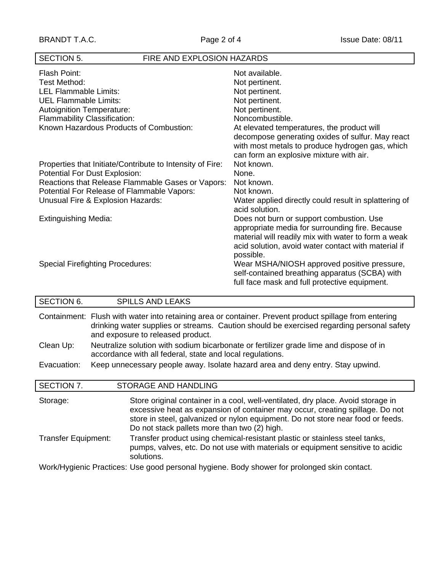# SECTION 5. FIRE AND EXPLOSION HAZARDS

| Flash Point:<br>Test Method:<br><b>LEL Flammable Limits:</b><br><b>UEL Flammable Limits:</b><br><b>Autoignition Temperature:</b> | Not available.<br>Not pertinent.<br>Not pertinent.<br>Not pertinent.<br>Not pertinent.<br>Noncombustible.                                                                                                              |
|----------------------------------------------------------------------------------------------------------------------------------|------------------------------------------------------------------------------------------------------------------------------------------------------------------------------------------------------------------------|
| <b>Flammability Classification:</b><br>Known Hazardous Products of Combustion:                                                   | At elevated temperatures, the product will<br>decompose generating oxides of sulfur. May react<br>with most metals to produce hydrogen gas, which<br>can form an explosive mixture with air.                           |
| Properties that Initiate/Contribute to Intensity of Fire:<br>Potential For Dust Explosion:                                       | Not known.<br>None.                                                                                                                                                                                                    |
| Reactions that Release Flammable Gases or Vapors:                                                                                | Not known.                                                                                                                                                                                                             |
| Potential For Release of Flammable Vapors:                                                                                       | Not known.                                                                                                                                                                                                             |
| Unusual Fire & Explosion Hazards:                                                                                                | Water applied directly could result in splattering of<br>acid solution.                                                                                                                                                |
| <b>Extinguishing Media:</b>                                                                                                      | Does not burn or support combustion. Use<br>appropriate media for surrounding fire. Because<br>material will readily mix with water to form a weak<br>acid solution, avoid water contact with material if<br>possible. |
| <b>Special Firefighting Procedures:</b>                                                                                          | Wear MSHA/NIOSH approved positive pressure,<br>self-contained breathing apparatus (SCBA) with<br>full face mask and full protective equipment.                                                                         |

| <b>SECTION 6.</b>                                                                           | <b>SPILLS AND LEAKS</b>                                                                                                                                                                                                                                                                              |  |
|---------------------------------------------------------------------------------------------|------------------------------------------------------------------------------------------------------------------------------------------------------------------------------------------------------------------------------------------------------------------------------------------------------|--|
|                                                                                             | Containment: Flush with water into retaining area or container. Prevent product spillage from entering<br>drinking water supplies or streams. Caution should be exercised regarding personal safety<br>and exposure to released product.                                                             |  |
| Clean Up:                                                                                   | Neutralize solution with sodium bicarbonate or fertilizer grade lime and dispose of in<br>accordance with all federal, state and local regulations.                                                                                                                                                  |  |
| Evacuation:                                                                                 | Keep unnecessary people away. Isolate hazard area and deny entry. Stay upwind.                                                                                                                                                                                                                       |  |
| SECTION 7.                                                                                  | <b>STORAGE AND HANDLING</b>                                                                                                                                                                                                                                                                          |  |
| Storage:                                                                                    | Store original container in a cool, well-ventilated, dry place. Avoid storage in<br>excessive heat as expansion of container may occur, creating spillage. Do not<br>store in steel, galvanized or nylon equipment. Do not store near food or feeds.<br>Do not stack pallets more than two (2) high. |  |
| <b>Transfer Equipment:</b>                                                                  | Transfer product using chemical-resistant plastic or stainless steel tanks,<br>pumps, valves, etc. Do not use with materials or equipment sensitive to acidic<br>solutions.                                                                                                                          |  |
| Work/Hygienic Practices: Use good personal hygiene. Body shower for prolonged skin contact. |                                                                                                                                                                                                                                                                                                      |  |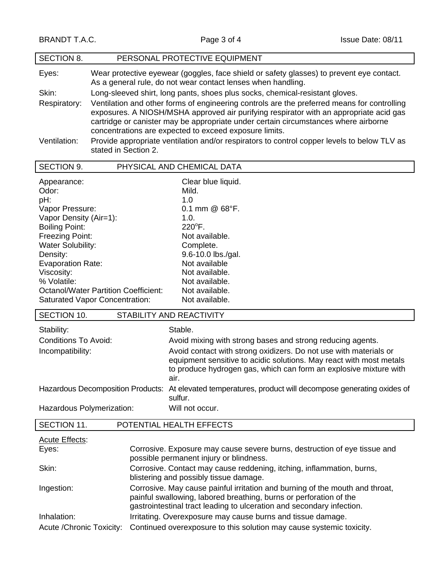| <b>SECTION 8.</b> | PERSONAL PROTECTIVE EQUIPMENT                                                                                                                                                                                                                                                                                                          |
|-------------------|----------------------------------------------------------------------------------------------------------------------------------------------------------------------------------------------------------------------------------------------------------------------------------------------------------------------------------------|
| Eyes:             | Wear protective eyewear (goggles, face shield or safety glasses) to prevent eye contact.<br>As a general rule, do not wear contact lenses when handling.                                                                                                                                                                               |
| Skin:             | Long-sleeved shirt, long pants, shoes plus socks, chemical-resistant gloves.                                                                                                                                                                                                                                                           |
| Respiratory:      | Ventilation and other forms of engineering controls are the preferred means for controlling<br>exposures. A NIOSH/MSHA approved air purifying respirator with an appropriate acid gas<br>cartridge or canister may be appropriate under certain circumstances where airborne<br>concentrations are expected to exceed exposure limits. |
| Ventilation:      | Provide appropriate ventilation and/or respirators to control copper levels to below TLV as<br>stated in Section 2.                                                                                                                                                                                                                    |

| SECTION 9.                            | PHYSICAL AND CHEMICAL DATA |
|---------------------------------------|----------------------------|
| Appearance:                           | Clear blue liquid.         |
| Odor:                                 | Mild.                      |
| pH:                                   | 1.0                        |
| Vapor Pressure:                       | 0.1 mm $@$ 68°F.           |
| Vapor Density (Air=1):                | 1.0.                       |
| <b>Boiling Point:</b>                 | $220^{\circ}$ F.           |
| <b>Freezing Point:</b>                | Not available.             |
| <b>Water Solubility:</b>              | Complete.                  |
| Density:                              | 9.6-10.0 lbs./gal.         |
| <b>Evaporation Rate:</b>              | Not available              |
| Viscosity:                            | Not available.             |
| % Volatile:                           | Not available.             |
| Octanol/Water Partition Coefficient:  | Not available.             |
| <b>Saturated Vapor Concentration:</b> | Not available.             |

| SECTION 10.                        | STABILITY AND REACTIVITY                                                                                                                         |
|------------------------------------|--------------------------------------------------------------------------------------------------------------------------------------------------|
| Stability:<br>Conditions To Avoid: | Stable.<br>Avoid mixing with strong bases and strong reducing agents.                                                                            |
| Incompatibility:                   | Avoid contact with strong oxidizers. Do not use with materials or                                                                                |
|                                    | equipment sensitive to acidic solutions. May react with most metals<br>to produce hydrogen gas, which can form an explosive mixture with<br>air. |
|                                    | Hazardous Decomposition Products: At elevated temperatures, product will decompose generating oxides of<br>sulfur.                               |
| Hazardous Polymerization:          | Will not occur.                                                                                                                                  |

| SECTION 11.               | POTENTIAL HEALTH EFFECTS                                                                                                                                                                                                    |
|---------------------------|-----------------------------------------------------------------------------------------------------------------------------------------------------------------------------------------------------------------------------|
| <b>Acute Effects:</b>     |                                                                                                                                                                                                                             |
| Eyes:                     | Corrosive. Exposure may cause severe burns, destruction of eye tissue and<br>possible permanent injury or blindness.                                                                                                        |
| Skin:                     | Corrosive. Contact may cause reddening, itching, inflammation, burns,<br>blistering and possibly tissue damage.                                                                                                             |
| Ingestion:                | Corrosive. May cause painful irritation and burning of the mouth and throat,<br>painful swallowing, labored breathing, burns or perforation of the<br>gastrointestinal tract leading to ulceration and secondary infection. |
| Inhalation:               | Irritating. Overexposure may cause burns and tissue damage.                                                                                                                                                                 |
| Acute / Chronic Toxicity: | Continued overexposure to this solution may cause systemic toxicity.                                                                                                                                                        |